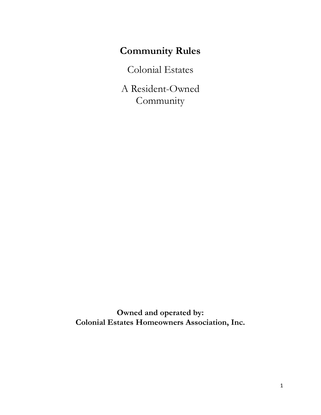# **Community Rules**

Colonial Estates

A Resident-Owned **Community** 

**Owned and operated by: Colonial Estates Homeowners Association, Inc.**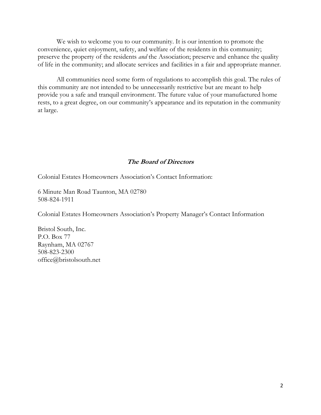We wish to welcome you to our community. It is our intention to promote the convenience, quiet enjoyment, safety, and welfare of the residents in this community; preserve the property of the residents *and* the Association; preserve and enhance the quality of life in the community; and allocate services and facilities in a fair and appropriate manner.

All communities need some form of regulations to accomplish this goal. The rules of this community are not intended to be unnecessarily restrictive but are meant to help provide you a safe and tranquil environment. The future value of your manufactured home rests, to a great degree, on our community's appearance and its reputation in the community at large.

#### **The Board of Directors**

Colonial Estates Homeowners Association's Contact Information:

6 Minute Man Road Taunton, MA 02780 508-824-1911

Colonial Estates Homeowners Association's Property Manager's Contact Information

Bristol South, Inc. P.O. Box 77 Raynham, MA 02767 508-823-2300 office@bristolsouth.net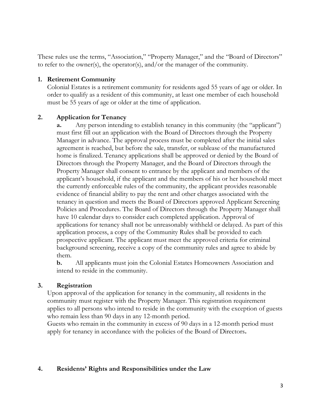These rules use the terms, "Association," "Property Manager," and the "Board of Directors" to refer to the owner(s), the operator(s), and/or the manager of the community.

#### **1. Retirement Community**

Colonial Estates is a retirement community for residents aged 55 years of age or older. In order to qualify as a resident of this community, at least one member of each household must be 55 years of age or older at the time of application.

#### **2. Application for Tenancy**

**a.** Any person intending to establish tenancy in this community (the "applicant") must first fill out an application with the Board of Directors through the Property Manager in advance. The approval process must be completed after the initial sales agreement is reached, but before the sale, transfer, or sublease of the manufactured home is finalized. Tenancy applications shall be approved or denied by the Board of Directors through the Property Manager, and the Board of Directors through the Property Manager shall consent to entrance by the applicant and members of the applicant's household, if the applicant and the members of his or her household meet the currently enforceable rules of the community, the applicant provides reasonable evidence of financial ability to pay the rent and other charges associated with the tenancy in question and meets the Board of Directors approved Applicant Screening Policies and Procedures. The Board of Directors through the Property Manager shall have 10 calendar days to consider each completed application. Approval of applications for tenancy shall not be unreasonably withheld or delayed. As part of this application process, a copy of the Community Rules shall be provided to each prospective applicant. The applicant must meet the approved criteria for criminal background screening, receive a copy of the community rules and agree to abide by them.

**b.** All applicants must join the Colonial Estates Homeowners Association and intend to reside in the community.

## **3. Registration**

Upon approval of the application for tenancy in the community, all residents in the community must register with the Property Manager. This registration requirement applies to all persons who intend to reside in the community with the exception of guests who remain less than 90 days in any 12-month period.

Guests who remain in the community in excess of 90 days in a 12-month period must apply for tenancy in accordance with the policies of the Board of Directors**.**

## **4. Residents' Rights and Responsibilities under the Law**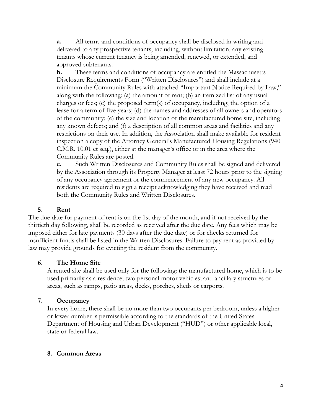**a.** All terms and conditions of occupancy shall be disclosed in writing and delivered to any prospective tenants, including, without limitation, any existing tenants whose current tenancy is being amended, renewed, or extended, and approved subtenants.

**b.** These terms and conditions of occupancy are entitled the Massachusetts Disclosure Requirements Form ("Written Disclosures") and shall include at a minimum the Community Rules with attached "Important Notice Required by Law," along with the following: (a) the amount of rent; (b) an itemized list of any usual charges or fees; (c) the proposed term(s) of occupancy, including, the option of a lease for a term of five years; (d) the names and addresses of all owners and operators of the community; (e) the size and location of the manufactured home site, including any known defects; and (f) a description of all common areas and facilities and any restrictions on their use. In addition, the Association shall make available for resident inspection a copy of the Attorney General's Manufactured Housing Regulations (940 C.M.R. 10.01 et seq.), either at the manager's office or in the area where the Community Rules are posted.

**c.** Such Written Disclosures and Community Rules shall be signed and delivered by the Association through its Property Manager at least 72 hours prior to the signing of any occupancy agreement or the commencement of any new occupancy. All residents are required to sign a receipt acknowledging they have received and read both the Community Rules and Written Disclosures.

## **5. Rent**

The due date for payment of rent is on the 1st day of the month, and if not received by the thirtieth day following, shall be recorded as received after the due date. Any fees which may be imposed either for late payments (30 days after the due date) or for checks returned for insufficient funds shall be listed in the Written Disclosures. Failure to pay rent as provided by law may provide grounds for evicting the resident from the community.

## **6. The Home Site**

A rented site shall be used only for the following: the manufactured home, which is to be used primarily as a residence; two personal motor vehicles; and ancillary structures or areas, such as ramps, patio areas, decks, porches, sheds or carports.

## **7. Occupancy**

In every home, there shall be no more than two occupants per bedroom, unless a higher or lower number is permissible according to the standards of the United States Department of Housing and Urban Development ("HUD") or other applicable local, state or federal law.

## **8. Common Areas**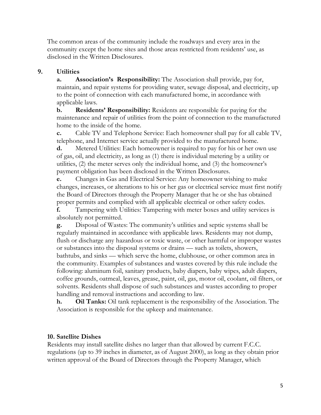The common areas of the community include the roadways and every area in the community except the home sites and those areas restricted from residents' use, as disclosed in the Written Disclosures.

## **9. Utilities**

**a. Association's Responsibility:** The Association shall provide, pay for, maintain, and repair systems for providing water, sewage disposal, and electricity, up to the point of connection with each manufactured home, in accordance with applicable laws.

**b. Residents' Responsibility:** Residents are responsible for paying for the maintenance and repair of utilities from the point of connection to the manufactured home to the inside of the home.

**c.** Cable TV and Telephone Service: Each homeowner shall pay for all cable TV, telephone, and Internet service actually provided to the manufactured home.

**d.** Metered Utilities: Each homeowner is required to pay for his or her own use of gas, oil, and electricity, as long as (1) there is individual metering by a utility or utilities, (2) the meter serves only the individual home, and (3) the homeowner's payment obligation has been disclosed in the Written Disclosures.

**e.** Changes in Gas and Electrical Service: Any homeowner wishing to make changes, increases, or alterations to his or her gas or electrical service must first notify the Board of Directors through the Property Manager that he or she has obtained proper permits and complied with all applicable electrical or other safety codes.

**f.** Tampering with Utilities: Tampering with meter boxes and utility services is absolutely not permitted.

**g.** Disposal of Wastes: The community's utilities and septic systems shall be regularly maintained in accordance with applicable laws. Residents may not dump, flush or discharge any hazardous or toxic waste, or other harmful or improper wastes or substances into the disposal systems or drains — such as toilets, showers, bathtubs, and sinks — which serve the home, clubhouse, or other common area in the community. Examples of substances and wastes covered by this rule include the following: aluminum foil, sanitary products, baby diapers, baby wipes, adult diapers, coffee grounds, oatmeal, leaves, grease, paint, oil, gas, motor oil, coolant, oil filters, or solvents. Residents shall dispose of such substances and wastes according to proper handling and removal instructions and according to law.

**h. Oil Tanks:** Oil tank replacement is the responsibility of the Association. The Association is responsible for the upkeep and maintenance.

## **10. Satellite Dishes**

Residents may install satellite dishes no larger than that allowed by current F.C.C. regulations (up to 39 inches in diameter, as of August 2000), as long as they obtain prior written approval of the Board of Directors through the Property Manager, which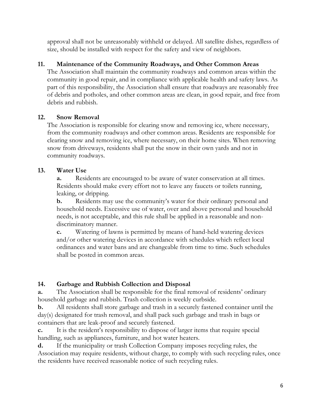approval shall not be unreasonably withheld or delayed. All satellite dishes, regardless of size, should be installed with respect for the safety and view of neighbors.

# **11. Maintenance of the Community Roadways, and Other Common Areas**

The Association shall maintain the community roadways and common areas within the community in good repair, and in compliance with applicable health and safety laws. As part of this responsibility, the Association shall ensure that roadways are reasonably free of debris and potholes, and other common areas are clean, in good repair, and free from debris and rubbish.

# **12. Snow Removal**

The Association is responsible for clearing snow and removing ice, where necessary, from the community roadways and other common areas. Residents are responsible for clearing snow and removing ice, where necessary, on their home sites. When removing snow from driveways, residents shall put the snow in their own yards and not in community roadways.

# **13. Water Use**

**a.** Residents are encouraged to be aware of water conservation at all times. Residents should make every effort not to leave any faucets or toilets running, leaking, or dripping.

**b.** Residents may use the community's water for their ordinary personal and household needs. Excessive use of water, over and above personal and household needs, is not acceptable, and this rule shall be applied in a reasonable and nondiscriminatory manner.

**c.** Watering of lawns is permitted by means of hand-held watering devices and/or other watering devices in accordance with schedules which reflect local ordinances and water bans and are changeable from time to time. Such schedules shall be posted in common areas.

# **14. Garbage and Rubbish Collection and Disposal**

**a.** The Association shall be responsible for the final removal of residents' ordinary household garbage and rubbish. Trash collection is weekly curbside.

**b.** All residents shall store garbage and trash in a securely fastened container until the day(s) designated for trash removal, and shall pack such garbage and trash in bags or containers that are leak-proof and securely fastened.

**c.** It is the resident's responsibility to dispose of larger items that require special handling, such as appliances, furniture, and hot water heaters.

**d.** If the municipality or trash Collection Company imposes recycling rules, the Association may require residents, without charge, to comply with such recycling rules, once the residents have received reasonable notice of such recycling rules.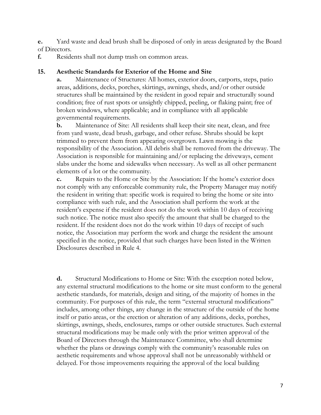**e.** Yard waste and dead brush shall be disposed of only in areas designated by the Board of Directors.

**f.** Residents shall not dump trash on common areas.

## **15. Aesthetic Standards for Exterior of the Home and Site**

**a.** Maintenance of Structures: All homes, exterior doors, carports, steps, patio areas, additions, decks, porches, skirtings, awnings, sheds, and/or other outside structures shall be maintained by the resident in good repair and structurally sound condition; free of rust spots or unsightly chipped, peeling, or flaking paint; free of broken windows, where applicable; and in compliance with all applicable governmental requirements.

**b.** Maintenance of Site: All residents shall keep their site neat, clean, and free from yard waste, dead brush, garbage, and other refuse. Shrubs should be kept trimmed to prevent them from appearing overgrown. Lawn mowing is the responsibility of the Association. All debris shall be removed from the driveway. The Association is responsible for maintaining and/or replacing the driveways, cement slabs under the home and sidewalks when necessary. As well as all other permanent elements of a lot or the community.

**c.** Repairs to the Home or Site by the Association: If the home's exterior does not comply with any enforceable community rule, the Property Manager may notify the resident in writing that: specific work is required to bring the home or site into compliance with such rule, and the Association shall perform the work at the resident's expense if the resident does not do the work within 10 days of receiving such notice. The notice must also specify the amount that shall be charged to the resident. If the resident does not do the work within 10 days of receipt of such notice, the Association may perform the work and charge the resident the amount specified in the notice, provided that such charges have been listed in the Written Disclosures described in Rule 4.

**d.** Structural Modifications to Home or Site: With the exception noted below, any external structural modifications to the home or site must conform to the general aesthetic standards, for materials, design and siting, of the majority of homes in the community. For purposes of this rule, the term "external structural modifications" includes, among other things, any change in the structure of the outside of the home itself or patio areas, or the erection or alteration of any additions, decks, porches, skirtings, awnings, sheds, enclosures, ramps or other outside structures. Such external structural modifications may be made only with the prior written approval of the Board of Directors through the Maintenance Committee, who shall determine whether the plans or drawings comply with the community's reasonable rules on aesthetic requirements and whose approval shall not be unreasonably withheld or delayed. For those improvements requiring the approval of the local building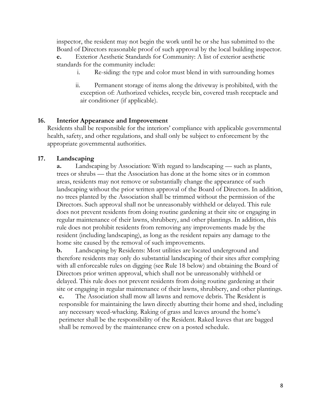inspector, the resident may not begin the work until he or she has submitted to the Board of Directors reasonable proof of such approval by the local building inspector.

**e.** Exterior Aesthetic Standards for Community: A list of exterior aesthetic standards for the community include:

- i. Re-siding: the type and color must blend in with surrounding homes
- ii. Permanent storage of items along the driveway is prohibited, with the exception of: Authorized vehicles, recycle bin, covered trash receptacle and air conditioner (if applicable).

## **16. Interior Appearance and Improvement**

Residents shall be responsible for the interiors' compliance with applicable governmental health, safety, and other regulations, and shall only be subject to enforcement by the appropriate governmental authorities.

## **17. Landscaping**

**a.** Landscaping by Association: With regard to landscaping — such as plants, trees or shrubs — that the Association has done at the home sites or in common areas, residents may not remove or substantially change the appearance of such landscaping without the prior written approval of the Board of Directors. In addition, no trees planted by the Association shall be trimmed without the permission of the Directors. Such approval shall not be unreasonably withheld or delayed. This rule does not prevent residents from doing routine gardening at their site or engaging in regular maintenance of their lawns, shrubbery, and other plantings. In addition, this rule does not prohibit residents from removing any improvements made by the resident (including landscaping), as long as the resident repairs any damage to the home site caused by the removal of such improvements.

**b.** Landscaping by Residents: Most utilities are located underground and therefore residents may only do substantial landscaping of their sites after complying with all enforceable rules on digging (see Rule 18 below) and obtaining the Board of Directors prior written approval, which shall not be unreasonably withheld or delayed. This rule does not prevent residents from doing routine gardening at their site or engaging in regular maintenance of their lawns, shrubbery, and other plantings.

**c.** The Association shall mow all lawns and remove debris. The Resident is responsible for maintaining the lawn directly abutting their home and shed, including any necessary weed-whacking. Raking of grass and leaves around the home's perimeter shall be the responsibility of the Resident. Raked leaves that are bagged shall be removed by the maintenance crew on a posted schedule.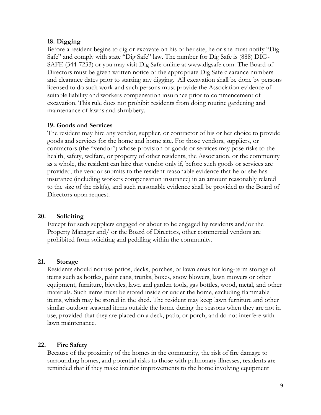#### **18. Digging**

Before a resident begins to dig or excavate on his or her site, he or she must notify "Dig Safe" and comply with state "Dig Safe" law. The number for Dig Safe is (888) DIG-SAFE (344-7233) or you may visit Dig Safe online at www.digsafe.com. The Board of Directors must be given written notice of the appropriate Dig Safe clearance numbers and clearance dates prior to starting any digging. All excavation shall be done by persons licensed to do such work and such persons must provide the Association evidence of suitable liability and workers compensation insurance prior to commencement of excavation. This rule does not prohibit residents from doing routine gardening and maintenance of lawns and shrubbery.

## **19. Goods and Services**

The resident may hire any vendor, supplier, or contractor of his or her choice to provide goods and services for the home and home site. For those vendors, suppliers, or contractors (the "vendor") whose provision of goods or services may pose risks to the health, safety, welfare, or property of other residents, the Association, or the community as a whole, the resident can hire that vendor only if, before such goods or services are provided, the vendor submits to the resident reasonable evidence that he or she has insurance (including workers compensation insurance) in an amount reasonably related to the size of the risk(s), and such reasonable evidence shall be provided to the Board of Directors upon request.

## **20. Soliciting**

Except for such suppliers engaged or about to be engaged by residents and/or the Property Manager and/ or the Board of Directors, other commercial vendors are prohibited from soliciting and peddling within the community.

#### **21. Storage**

Residents should not use patios, decks, porches, or lawn areas for long-term storage of items such as bottles, paint cans, trunks, boxes, snow blowers, lawn mowers or other equipment, furniture, bicycles, lawn and garden tools, gas bottles, wood, metal, and other materials. Such items must be stored inside or under the home, excluding flammable items, which may be stored in the shed. The resident may keep lawn furniture and other similar outdoor seasonal items outside the home during the seasons when they are not in use, provided that they are placed on a deck, patio, or porch, and do not interfere with lawn maintenance.

## **22. Fire Safety**

Because of the proximity of the homes in the community, the risk of fire damage to surrounding homes, and potential risks to those with pulmonary illnesses, residents are reminded that if they make interior improvements to the home involving equipment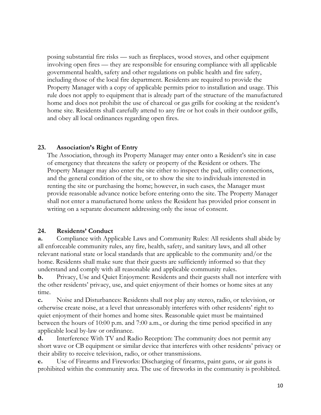posing substantial fire risks — such as fireplaces, wood stoves, and other equipment involving open fires — they are responsible for ensuring compliance with all applicable governmental health, safety and other regulations on public health and fire safety, including those of the local fire department. Residents are required to provide the Property Manager with a copy of applicable permits prior to installation and usage. This rule does not apply to equipment that is already part of the structure of the manufactured home and does not prohibit the use of charcoal or gas grills for cooking at the resident's home site. Residents shall carefully attend to any fire or hot coals in their outdoor grills, and obey all local ordinances regarding open fires.

## **23. Association's Right of Entry**

The Association, through its Property Manager may enter onto a Resident's site in case of emergency that threatens the safety or property of the Resident or others. The Property Manager may also enter the site either to inspect the pad, utility connections, and the general condition of the site, or to show the site to individuals interested in renting the site or purchasing the home; however, in such cases, the Manager must provide reasonable advance notice before entering onto the site. The Property Manager shall not enter a manufactured home unless the Resident has provided prior consent in writing on a separate document addressing only the issue of consent.

## **24. Residents' Conduct**

**a.** Compliance with Applicable Laws and Community Rules: All residents shall abide by all enforceable community rules, any fire, health, safety, and sanitary laws, and all other relevant national state or local standards that are applicable to the community and/or the home. Residents shall make sure that their guests are sufficiently informed so that they understand and comply with all reasonable and applicable community rules.

**b.** Privacy, Use and Quiet Enjoyment: Residents and their guests shall not interfere with the other residents' privacy, use, and quiet enjoyment of their homes or home sites at any time.

**c.** Noise and Disturbances: Residents shall not play any stereo, radio, or television, or otherwise create noise, at a level that unreasonably interferes with other residents' right to quiet enjoyment of their homes and home sites. Reasonable quiet must be maintained between the hours of 10:00 p.m. and 7:00 a.m., or during the time period specified in any applicable local by-law or ordinance.

**d.** Interference With TV and Radio Reception: The community does not permit any short wave or CB equipment or similar device that interferes with other residents' privacy or their ability to receive television, radio, or other transmissions.

**e.** Use of Firearms and Fireworks: Discharging of firearms, paint guns, or air guns is prohibited within the community area. The use of fireworks in the community is prohibited.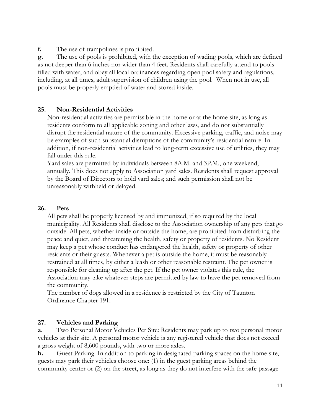**f.** The use of trampolines is prohibited.

**g.** The use of pools is prohibited, with the exception of wading pools, which are defined as not deeper than 6 inches nor wider than 4 feet. Residents shall carefully attend to pools filled with water, and obey all local ordinances regarding open pool safety and regulations, including, at all times, adult supervision of children using the pool. When not in use, all pools must be properly emptied of water and stored inside.

## **25. Non-Residential Activities**

Non-residential activities are permissible in the home or at the home site, as long as residents conform to all applicable zoning and other laws, and do not substantially disrupt the residential nature of the community. Excessive parking, traffic, and noise may be examples of such substantial disruptions of the community's residential nature. In addition, if non-residential activities lead to long-term excessive use of utilities, they may fall under this rule.

Yard sales are permitted by individuals between 8A.M. and 3P.M., one weekend, annually. This does not apply to Association yard sales. Residents shall request approval by the Board of Directors to hold yard sales; and such permission shall not be unreasonably withheld or delayed.

## **26. Pets**

All pets shall be properly licensed by and immunized, if so required by the local municipality. All Residents shall disclose to the Association ownership of any pets that go outside. All pets, whether inside or outside the home, are prohibited from disturbing the peace and quiet, and threatening the health, safety or property of residents. No Resident may keep a pet whose conduct has endangered the health, safety or property of other residents or their guests. Whenever a pet is outside the home, it must be reasonably restrained at all times, by either a leash or other reasonable restraint. The pet owner is responsible for cleaning up after the pet. If the pet owner violates this rule, the Association may take whatever steps are permitted by law to have the pet removed from the community.

The number of dogs allowed in a residence is restricted by the City of Taunton Ordinance Chapter 191.

## **27. Vehicles and Parking**

**a.** Two Personal Motor Vehicles Per Site: Residents may park up to two personal motor vehicles at their site. A personal motor vehicle is any registered vehicle that does not exceed a gross weight of 8,600 pounds, with two or more axles.

**b.** Guest Parking: In addition to parking in designated parking spaces on the home site, guests may park their vehicles choose one: (1) in the guest parking areas behind the community center or (2) on the street, as long as they do not interfere with the safe passage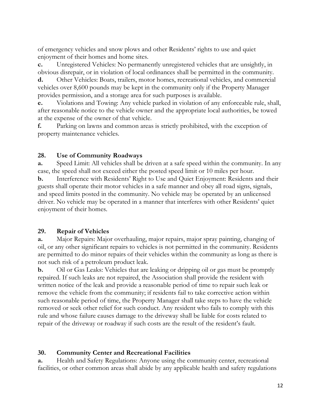of emergency vehicles and snow plows and other Residents' rights to use and quiet enjoyment of their homes and home sites.

**c.** Unregistered Vehicles: No permanently unregistered vehicles that are unsightly, in obvious disrepair, or in violation of local ordinances shall be permitted in the community.

**d.** Other Vehicles: Boats, trailers, motor homes, recreational vehicles, and commercial vehicles over 8,600 pounds may be kept in the community only if the Property Manager provides permission, and a storage area for such purposes is available.

**e.** Violations and Towing: Any vehicle parked in violation of any enforceable rule, shall, after reasonable notice to the vehicle owner and the appropriate local authorities, be towed at the expense of the owner of that vehicle.

**f.** Parking on lawns and common areas is strictly prohibited, with the exception of property maintenance vehicles.

## **28. Use of Community Roadways**

**a.** Speed Limit: All vehicles shall be driven at a safe speed within the community. In any case, the speed shall not exceed either the posted speed limit or 10 miles per hour.

**b.** Interference with Residents' Right to Use and Quiet Enjoyment: Residents and their guests shall operate their motor vehicles in a safe manner and obey all road signs, signals, and speed limits posted in the community. No vehicle may be operated by an unlicensed driver. No vehicle may be operated in a manner that interferes with other Residents' quiet enjoyment of their homes.

## **29. Repair of Vehicles**

**a.** Major Repairs: Major overhauling, major repairs, major spray painting, changing of oil, or any other significant repairs to vehicles is not permitted in the community. Residents are permitted to do minor repairs of their vehicles within the community as long as there is not such risk of a petroleum product leak.

**b.** Oil or Gas Leaks: Vehicles that are leaking or dripping oil or gas must be promptly repaired. If such leaks are not repaired, the Association shall provide the resident with written notice of the leak and provide a reasonable period of time to repair such leak or remove the vehicle from the community; if residents fail to take corrective action within such reasonable period of time, the Property Manager shall take steps to have the vehicle removed or seek other relief for such conduct. Any resident who fails to comply with this rule and whose failure causes damage to the driveway shall be liable for costs related to repair of the driveway or roadway if such costs are the result of the resident's fault.

## **30. Community Center and Recreational Facilities**

**a.** Health and Safety Regulations: Anyone using the community center, recreational facilities, or other common areas shall abide by any applicable health and safety regulations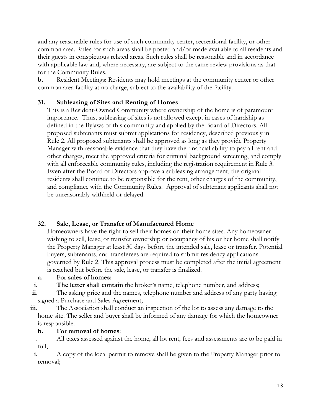and any reasonable rules for use of such community center, recreational facility, or other common area. Rules for such areas shall be posted and/or made available to all residents and their guests in conspicuous related areas. Such rules shall be reasonable and in accordance with applicable law and, where necessary, are subject to the same review provisions as that for the Community Rules.

**b.** Resident Meetings: Residents may hold meetings at the community center or other common area facility at no charge, subject to the availability of the facility.

# **31. Subleasing of Sites and Renting of Homes**

This is a Resident-Owned Community where ownership of the home is of paramount importance. Thus, subleasing of sites is not allowed except in cases of hardship as defined in the Bylaws of this community and applied by the Board of Directors. All proposed subtenants must submit applications for residency, described previously in Rule 2. All proposed subtenants shall be approved as long as they provide Property Manager with reasonable evidence that they have the financial ability to pay all rent and other charges, meet the approved criteria for criminal background screening, and comply with all enforceable community rules, including the registration requirement in Rule 3. Even after the Board of Directors approve a subleasing arrangement, the original residents shall continue to be responsible for the rent, other charges of the community, and compliance with the Community Rules. Approval of subtenant applicants shall not be unreasonably withheld or delayed.

# **32. Sale, Lease, or Transfer of Manufactured Home**

Homeowners have the right to sell their homes on their home sites. Any homeowner wishing to sell, lease, or transfer ownership or occupancy of his or her home shall notify the Property Manager at least 30 days before the intended sale, lease or transfer. Potential buyers, subtenants, and transferees are required to submit residency applications governed by Rule 2. This approval process must be completed after the initial agreement is reached but before the sale, lease, or transfer is finalized.

## **a.** F**or sales of homes:**

**i. The letter shall contain** the broker's name, telephone number, and address;

- **ii.** The asking price and the names, telephone number and address of any party having signed a Purchase and Sales Agreement;
- **iii.** The Association shall conduct an inspection of the lot to assess any damage to the home site. The seller and buyer shall be informed of any damage for which the homeowner is responsible.

## **b. For removal of homes**:

**.** All taxes assessed against the home, all lot rent, fees and assessments are to be paid in full;

**i.** A copy of the local permit to remove shall be given to the Property Manager prior to removal;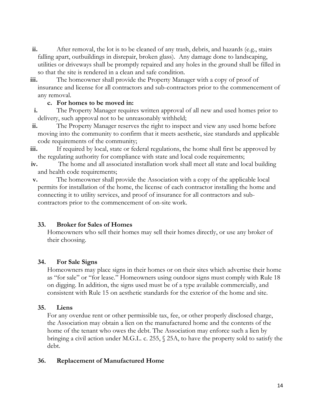- **ii.** After removal, the lot is to be cleaned of any trash, debris, and hazards (e.g., stairs falling apart, outbuildings in disrepair, broken glass). Any damage done to landscaping, utilities or driveways shall be promptly repaired and any holes in the ground shall be filled in so that the site is rendered in a clean and safe condition.
- **iii.** The homeowner shall provide the Property Manager with a copy of proof of insurance and license for all contractors and sub-contractors prior to the commencement of any removal.

## **c. For homes to be moved in:**

- **i.** The Property Manager requires written approval of all new and used homes prior to delivery, such approval not to be unreasonably withheld;
- **ii.** The Property Manager reserves the right to inspect and view any used home before moving into the community to confirm that it meets aesthetic, size standards and applicable code requirements of the community;
- **iii.** If required by local, state or federal regulations, the home shall first be approved by the regulating authority for compliance with state and local code requirements;
- **iv.** The home and all associated installation work shall meet all state and local building and health code requirements;
- **v.** The homeowner shall provide the Association with a copy of the applicable local permits for installation of the home, the license of each contractor installing the home and connecting it to utility services, and proof of insurance for all contractors and subcontractors prior to the commencement of on-site work.

## **33. Broker for Sales of Homes**

Homeowners who sell their homes may sell their homes directly, or use any broker of their choosing.

## **34. For Sale Signs**

Homeowners may place signs in their homes or on their sites which advertise their home as "for sale" or "for lease." Homeowners using outdoor signs must comply with Rule 18 on digging. In addition, the signs used must be of a type available commercially, and consistent with Rule 15 on aesthetic standards for the exterior of the home and site.

## **35. Liens**

For any overdue rent or other permissible tax, fee, or other properly disclosed charge, the Association may obtain a lien on the manufactured home and the contents of the home of the tenant who owes the debt. The Association may enforce such a lien by bringing a civil action under M.G.L. c. 255, § 25A, to have the property sold to satisfy the debt.

# **36. Replacement of Manufactured Home**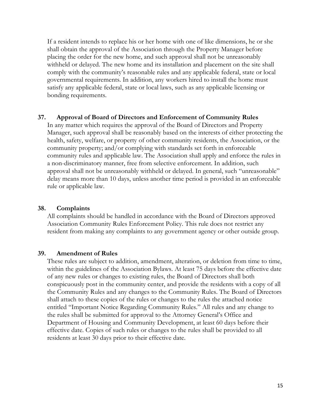If a resident intends to replace his or her home with one of like dimensions, he or she shall obtain the approval of the Association through the Property Manager before placing the order for the new home, and such approval shall not be unreasonably withheld or delayed. The new home and its installation and placement on the site shall comply with the community's reasonable rules and any applicable federal, state or local governmental requirements. In addition, any workers hired to install the home must satisfy any applicable federal, state or local laws, such as any applicable licensing or bonding requirements.

#### **37. Approval of Board of Directors and Enforcement of Community Rules**

In any matter which requires the approval of the Board of Directors and Property Manager, such approval shall be reasonably based on the interests of either protecting the health, safety, welfare, or property of other community residents, the Association, or the community property; and/or complying with standards set forth in enforceable community rules and applicable law. The Association shall apply and enforce the rules in a non-discriminatory manner, free from selective enforcement. In addition, such approval shall not be unreasonably withheld or delayed. In general, such "unreasonable" delay means more than 10 days, unless another time period is provided in an enforceable rule or applicable law.

#### **38. Complaints**

All complaints should be handled in accordance with the Board of Directors approved Association Community Rules Enforcement Policy. This rule does not restrict any resident from making any complaints to any government agency or other outside group.

#### **39. Amendment of Rules**

These rules are subject to addition, amendment, alteration, or deletion from time to time, within the guidelines of the Association Bylaws. At least 75 days before the effective date of any new rules or changes to existing rules, the Board of Directors shall both conspicuously post in the community center, and provide the residents with a copy of all the Community Rules and any changes to the Community Rules. The Board of Directors shall attach to these copies of the rules or changes to the rules the attached notice entitled "Important Notice Regarding Community Rules." All rules and any change to the rules shall be submitted for approval to the Attorney General's Office and Department of Housing and Community Development, at least 60 days before their effective date. Copies of such rules or changes to the rules shall be provided to all residents at least 30 days prior to their effective date.